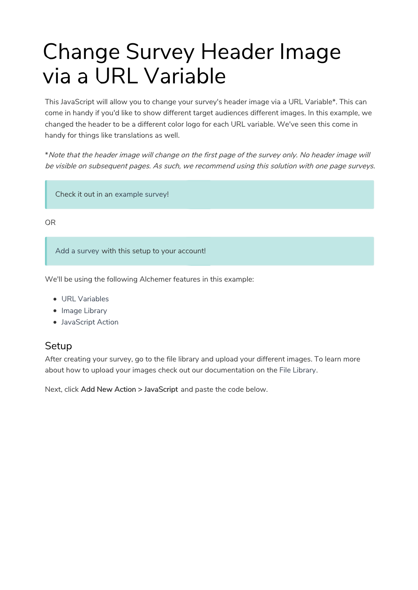# Change Survey Header Image via a URL Variable

This JavaScript will allow you to change your survey's header image via a URL Variable\*. This can come in handy if you'd like to show different target audiences different images. In this example, we changed the header to be a different color logo for each URL variable. We've seen this come in handy for things like translations as well.

\*Note that the header image will change on the first page of the survey only. No header image will be visible on subsequent pages. As such, we recommend using this solution with one page surveys.

Check it out in an example survey!

OR

Add a survey with this setup to your account!

We'll be using the following Alchemer features in this example:

- URL Variables
- Image Library
- JavaScript Action

#### **Setup**

After creating your survey, go to the file library and upload your different images. To learn more about how to upload your images check out our documentation on the File Library.

Next, click Add New Action > JavaScript and paste the code below.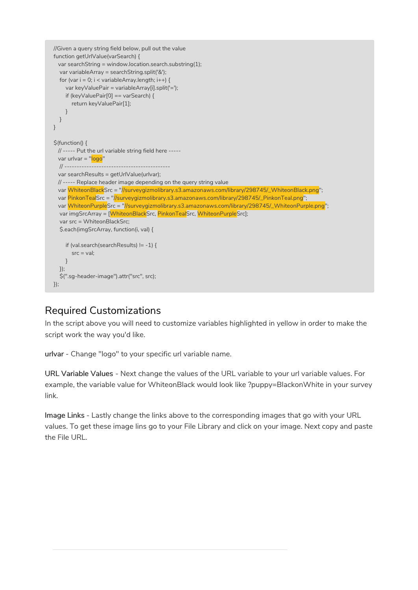```
//Given a query string field below, pull out the value
function getUrlValue(varSearch) {
 var searchString = window.location.search.substring(1);
  var variableArray = searchString.split('&');
  for (var i = 0; i < variableArray.length; i++) {
    var keyValuePair = variableArray[i].split('=');
    if (keyValuePair[0] == varSearch) {
      return keyValuePair[1];
    }
  }
}
$(function() {
 // ----- Put the url variable string field here -----
 var urlvar = "logo"
  // -------------------------------------------
 var searchResults = getUrlValue(urlvar);
 // ----- Replace header image depending on the query string value
 var WhiteonBlackSrc = "//surveygizmolibrary.s3.amazonaws.com/library/298745/_WhiteonBlack.png";
 var PinkonTealSrc = "//surveygizmolibrary.s3.amazonaws.com/library/298745/_PinkonTeal.png";
 var WhiteonPurpleSrc = "//surveygizmolibrary.s3.amazonaws.com/library/298745/_WhiteonPurple.png";
  var imgSrcArray = [WhiteonBlackSrc, PinkonTealSrc, WhiteonPurpleSrc];
  var src = WhiteonBlackSrc;
  $.each(imgSrcArray, function(i, val) {
    if (val.search(searchResults) != -1) {
      src = val:
    }
  });
  $(".sg-header-image").attr("src", src);
});
```
### Required Customizations

In the script above you will need to customize variables highlighted in yellow in order to make the script work the way you'd like.

urlvar - Change "logo" to your specific url variable name.

URL Variable Values - Next change the values of the URL variable to your url variable values. For example, the variable value for WhiteonBlack would look like ?puppy=BlackonWhite in your survey link.

Image Links - Lastly change the links above to the corresponding images that go with your URL values. To get these image lins go to your File Library and click on your image. Next copy and paste the File URL.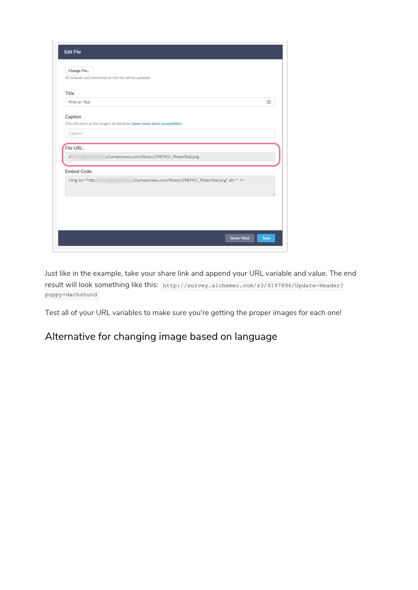| All embeds and references to this file will be updated.                                        |                                                                                |   |
|------------------------------------------------------------------------------------------------|--------------------------------------------------------------------------------|---|
| Title                                                                                          |                                                                                |   |
| Pink on Teal                                                                                   |                                                                                | 田 |
| Caption<br>Caption                                                                             | This will serve as the image's alt attribute (Learn more about accessibility). |   |
|                                                                                                |                                                                                |   |
| File URL:                                                                                      |                                                                                |   |
|                                                                                                | .s3.amazonaws.com/library/298745/_PinkonTeal.png                               |   |
| <b>Embed Code:</b>                                                                             |                                                                                |   |
| <img alt="" src="http:/&lt;/td&gt;&lt;td&gt;s3.amazonaws.com/library/298745/_PinkonTeal.png"/> |                                                                                |   |
|                                                                                                |                                                                                |   |
|                                                                                                |                                                                                |   |

Just like in the example, take your share link and append your URL variable and value. The end result will look something like this: http://survey.alchemer.com/s3/4197896/Update-Header? puppy=dachshund

Test all of your URL variables to make sure you're getting the proper images for each one!

## Alternative for changing image based on language